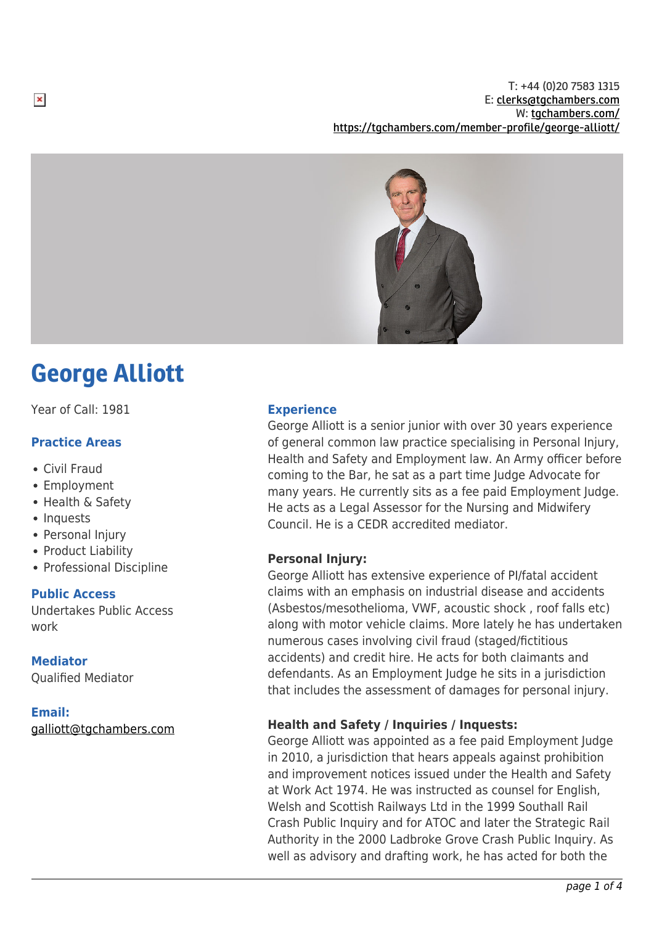T: +44 (0)20 7583 1315 E: [clerks@tgchambers.com](mailto:clerks@tgchambers.com) W: [tgchambers.com/](http://tgchambers.com/) <https://tgchambers.com/member-profile/george-alliott/>



# George Alliott

Year of Call: 1981

# **Practice Areas**

- Civil Fraud
- Employment
- Health & Safety
- Inquests
- Personal Injury
- Product Liability
- Professional Discipline

# **Public Access**

Undertakes Public Access work

# **Mediator**

Qualified Mediator

# **Email:**

[galliott@tgchambers.com](mailto:galliott@tgchambers.com)

## **Experience**

George Alliott is a senior junior with over 30 years experience of general common law practice specialising in Personal Injury, Health and Safety and Employment law. An Army officer before coming to the Bar, he sat as a part time Judge Advocate for many years. He currently sits as a fee paid Employment Judge. He acts as a Legal Assessor for the Nursing and Midwifery Council. He is a CEDR accredited mediator.

# **Personal Injury:**

George Alliott has extensive experience of PI/fatal accident claims with an emphasis on industrial disease and accidents (Asbestos/mesothelioma, VWF, acoustic shock , roof falls etc) along with motor vehicle claims. More lately he has undertaken numerous cases involving civil fraud (staged/fictitious accidents) and credit hire. He acts for both claimants and defendants. As an Employment Judge he sits in a jurisdiction that includes the assessment of damages for personal injury.

# **Health and Safety / Inquiries / Inquests:**

George Alliott was appointed as a fee paid Employment Judge in 2010, a jurisdiction that hears appeals against prohibition and improvement notices issued under the Health and Safety at Work Act 1974. He was instructed as counsel for English, Welsh and Scottish Railways Ltd in the 1999 Southall Rail Crash Public Inquiry and for ATOC and later the Strategic Rail Authority in the 2000 Ladbroke Grove Crash Public Inquiry. As well as advisory and drafting work, he has acted for both the

 $\pmb{\times}$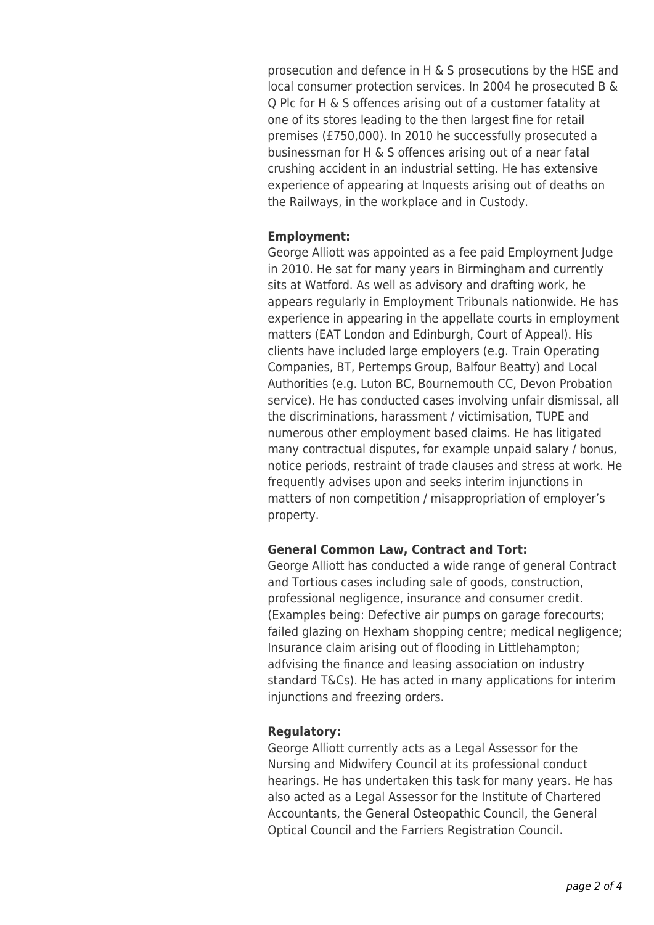prosecution and defence in H & S prosecutions by the HSE and local consumer protection services. In 2004 he prosecuted B & Q Plc for H & S offences arising out of a customer fatality at one of its stores leading to the then largest fine for retail premises (£750,000). In 2010 he successfully prosecuted a businessman for H & S offences arising out of a near fatal crushing accident in an industrial setting. He has extensive experience of appearing at Inquests arising out of deaths on the Railways, in the workplace and in Custody.

# **Employment:**

George Alliott was appointed as a fee paid Employment Judge in 2010. He sat for many years in Birmingham and currently sits at Watford. As well as advisory and drafting work, he appears regularly in Employment Tribunals nationwide. He has experience in appearing in the appellate courts in employment matters (EAT London and Edinburgh, Court of Appeal). His clients have included large employers (e.g. Train Operating Companies, BT, Pertemps Group, Balfour Beatty) and Local Authorities (e.g. Luton BC, Bournemouth CC, Devon Probation service). He has conducted cases involving unfair dismissal, all the discriminations, harassment / victimisation, TUPE and numerous other employment based claims. He has litigated many contractual disputes, for example unpaid salary / bonus, notice periods, restraint of trade clauses and stress at work. He frequently advises upon and seeks interim injunctions in matters of non competition / misappropriation of employer's property.

# **General Common Law, Contract and Tort:**

George Alliott has conducted a wide range of general Contract and Tortious cases including sale of goods, construction, professional negligence, insurance and consumer credit. (Examples being: Defective air pumps on garage forecourts; failed glazing on Hexham shopping centre; medical negligence; Insurance claim arising out of flooding in Littlehampton; adfvising the finance and leasing association on industry standard T&Cs). He has acted in many applications for interim injunctions and freezing orders.

# **Regulatory:**

George Alliott currently acts as a Legal Assessor for the Nursing and Midwifery Council at its professional conduct hearings. He has undertaken this task for many years. He has also acted as a Legal Assessor for the Institute of Chartered Accountants, the General Osteopathic Council, the General Optical Council and the Farriers Registration Council.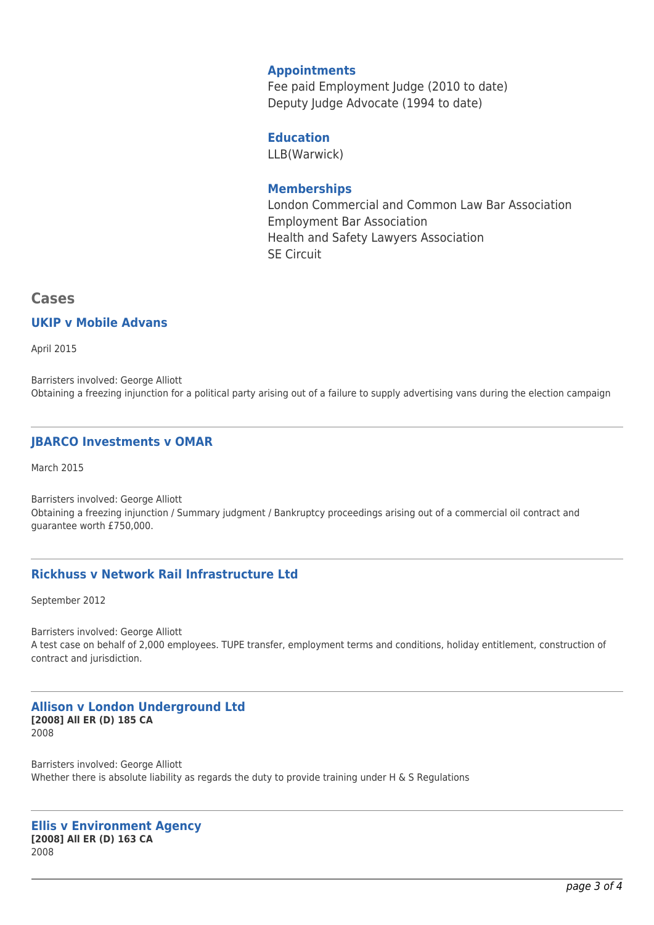## **Appointments**

Fee paid Employment Judge (2010 to date) Deputy Judge Advocate (1994 to date)

## **Education**

LLB(Warwick)

## **Memberships**

London Commercial and Common Law Bar Association Employment Bar Association Health and Safety Lawyers Association SE Circuit

# **Cases**

### **UKIP v Mobile Advans**

April 2015

Barristers involved: George Alliott Obtaining a freezing injunction for a political party arising out of a failure to supply advertising vans during the election campaign

# **JBARCO Investments v OMAR**

March 2015

Barristers involved: George Alliott Obtaining a freezing injunction / Summary judgment / Bankruptcy proceedings arising out of a commercial oil contract and guarantee worth £750,000.

# **Rickhuss v Network Rail Infrastructure Ltd**

September 2012

Barristers involved: George Alliott A test case on behalf of 2,000 employees. TUPE transfer, employment terms and conditions, holiday entitlement, construction of contract and jurisdiction.

#### **Allison v London Underground Ltd [2008] All ER (D) 185 CA** 2008

Barristers involved: George Alliott Whether there is absolute liability as regards the duty to provide training under H & S Regulations

#### **Ellis v Environment Agency [2008] All ER (D) 163 CA** 2008